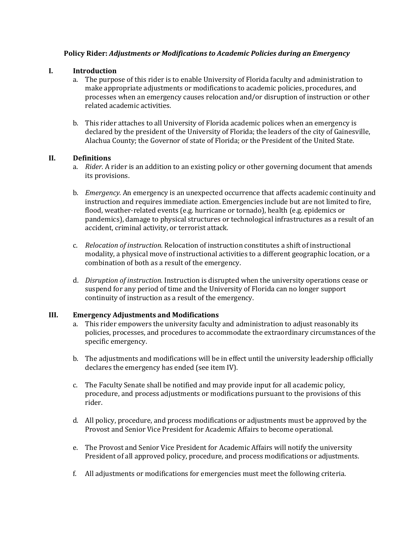# **Policy Rider:** *Adjustments or Modifications to Academic Policies during an Emergency*

# **I. Introduction**

- a. The purpose of this rider is to enable University of Florida faculty and administration to make appropriate adjustments or modifications to academic policies, procedures, and processes when an emergency causes relocation and/or disruption of instruction or other related academic activities.
- b. This rider attaches to all University of Florida academic polices when an emergency is declared by the president of the University of Florida; the leaders of the city of Gainesville, Alachua County; the Governor of state of Florida; or the President of the United State.

#### **II. Definitions**

- a. *Rider.* A rider is an addition to an existing policy or other governing document that amends its provisions.
- b. *Emergency.* An emergency is an unexpected occurrence that affects academic continuity and instruction and requires immediate action. Emergencies include but are not limited to fire, flood, weather-related events (e.g. hurricane or tornado), health (e.g. epidemics or pandemics), damage to physical structures or technological infrastructures as a result of an accident, criminal activity, or terrorist attack.
- c. *Relocation of instruction.* Relocation of instruction constitutes a shift of instructional modality, a physical move of instructional activities to a different geographic location, or a combination of both as a result of the emergency.
- d. *Disruption of instruction.* Instruction is disrupted when the university operations cease or suspend for any period of time and the University of Florida can no longer support continuity of instruction as a result of the emergency.

#### **III. Emergency Adjustments and Modifications**

- a. This rider empowers the university faculty and administration to adjust reasonably its policies, processes, and procedures to accommodate the extraordinary circumstances of the specific emergency.
- b. The adjustments and modifications will be in effect until the university leadership officially declares the emergency has ended (see item IV).
- c. The Faculty Senate shall be notified and may provide input for all academic policy, procedure, and process adjustments or modifications pursuant to the provisions of this rider.
- d. All policy, procedure, and process modifications or adjustments must be approved by the Provost and Senior Vice President for Academic Affairs to become operational.
- e. The Provost and Senior Vice President for Academic Affairs will notify the university President of all approved policy, procedure, and process modifications or adjustments.
- f. All adjustments or modifications for emergencies must meet the following criteria.